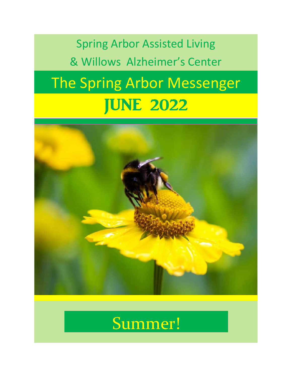The Spring Arbor Messenger Spring Arbor Assisted Living & Willows Alzheimer's Center JUNE 2022



# Summer!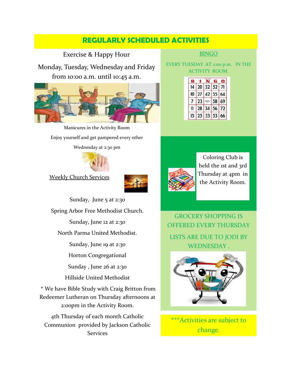## **REGULARLY SCHEDULED ACTIVITIES**

Exercise & Happy Hour

Monday, Tuesday, Wednesday and Friday from 10:00 a.m. until 10:45 a.m.



Manicures in the Activity Room Enjoy yourself and get pampered every other Wednesday at 2:30 pm



Weekly Church Services



Sunday, June 5 at 2:30 Spring Arbor Free Methodist Church. Sunday, June 12 at 2:30 North Parma United Methodist. Sunday, June 19 at 2:30 Horton Congregational Sunday , June 26 at 2:30 Hillside United Methodist \* We have Bible Study with Craig Britton from Redeemer Lutheran on Thursday afternoons at 2:00pm in the Activity Room.

4th Thursday of each month Catholic Communion provided by Jackson Catholic **Services** 

#### BINGO

EVERY TUESDAY AT 2:00 p.m. IN THE ACTIVITY ROOM.

|    |    | <b>ARR 1 8246</b> |    |                |
|----|----|-------------------|----|----------------|
| 14 | 20 | 32                | 52 | 71             |
|    | Ú  | 42                | 55 | 64             |
|    | 23 | FREE              | 58 | 69             |
|    | 28 | Δ                 | 56 | $\overline{2}$ |
| 15 |    | $\ddot{3}$        | 53 | 66             |



Coloring Club is held the 1st and 3rd Thursday at 4pm in the Activity Room.

GROCERY SHOPPING IS OFFERED EVERY THURSDAY LISTS ARE DUE TO JODI BY WEDNESDAY .



\*\*\*Activities are subject to change.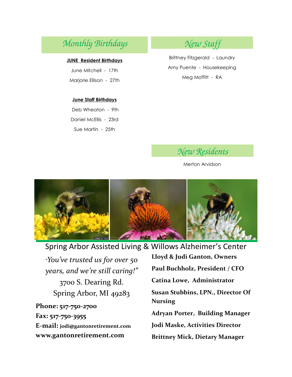## *Monthly Birthdays New Staff*

#### **JUNE Resident Birthdays**

June Mitchell - 17th Marjorie Ellison - 27th

#### **June Staff Birthdays**

Deb Wheaton - 9th Daniel McEllis - 23rd Sue Martin - 25th

Brittney Fitzgerald - Laundry Amy Puente - Housekeeping Meg Moffitt - RA



Merton Arvidson



## Spring Arbor Assisted Living & Willows Alzheimer's Center

*"You've trusted us for over 50 years, and we're still caring!"* 3700 S. Dearing Rd. Spring Arbor, MI 49283

**Phone: 517-750-2700 Fax: 517-750-3955 E-mail: jodi@gantonretirement.com www.gantonretirement.com**

**Lloyd & Judi Ganton, Owners Paul Buchholz, President / CFO Catina Lowe, Administrator Susan Stubbins, LPN., Director Of Nursing Adryan Porter, Building Manager Jodi Maske, Activities Director Brittney Mick, Dietary Manager**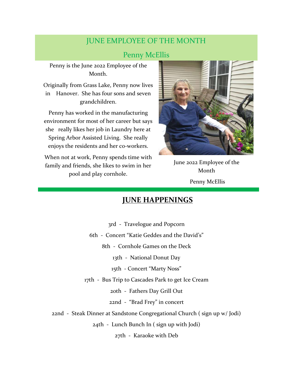## JUNE EMPLOYEE OF THE MONTH

## Penny McEllis

Penny is the June 2022 Employee of the Month.

Originally from Grass Lake, Penny now lives in Hanover. She has four sons and seven grandchildren.

Penny has worked in the manufacturing environment for most of her career but says she really likes her job in Laundry here at Spring Arbor Assisted Living. She really enjoys the residents and her co-workers.

When not at work, Penny spends time with family and friends, she likes to swim in her pool and play cornhole.



June 2022 Employee of the Month Penny McEllis

### **JUNE HAPPENINGS**

3rd - Travelogue and Popcorn 6th - Concert "Katie Geddes and the David's" 8th - Cornhole Games on the Deck 13th - National Donut Day 15th - Concert "Marty Noss" 17th - Bus Trip to Cascades Park to get Ice Cream 20th - Fathers Day Grill Out 22nd - "Brad Frey" in concert 22nd - Steak Dinner at Sandstone Congregational Church ( sign up w/ Jodi) 24th - Lunch Bunch In ( sign up with Jodi) 27th - Karaoke with Deb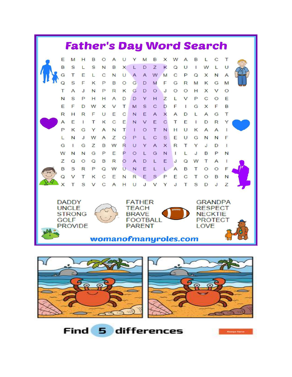

**Find 5 differences**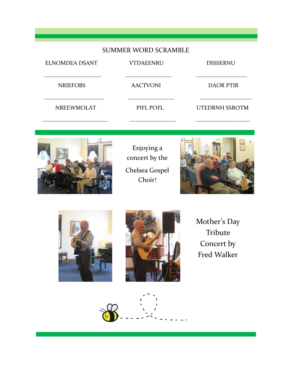### SUMMER WORD SCRAMBLE

| <b>AACTVONI</b><br><b>DAOR PTIR</b> |
|-------------------------------------|
| <b>UTEDRNH SSROTM</b><br>PIFL POFL  |
|                                     |



Enjoying a concert by the Chelsea Gospel Choir!







Mother's Day Tribute Concert by Fred Walker